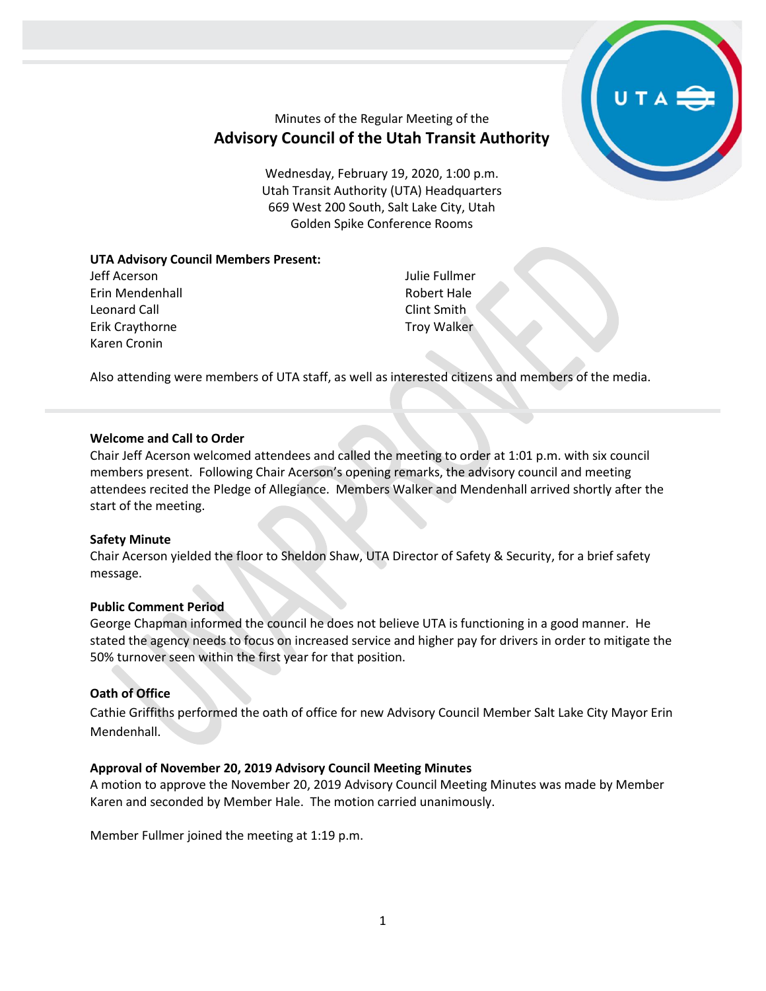

# Minutes of the Regular Meeting of the **Advisory Council of the Utah Transit Authority**

Wednesday, February 19, 2020, 1:00 p.m. Utah Transit Authority (UTA) Headquarters 669 West 200 South, Salt Lake City, Utah Golden Spike Conference Rooms

## **UTA Advisory Council Members Present:**

Jeff Acerson Erin Mendenhall Leonard Call Erik Craythorne Karen Cronin

Julie Fullmer Robert Hale Clint Smith Troy Walker

Also attending were members of UTA staff, as well as interested citizens and members of the media.

## **Welcome and Call to Order**

Chair Jeff Acerson welcomed attendees and called the meeting to order at 1:01 p.m. with six council members present. Following Chair Acerson's opening remarks, the advisory council and meeting attendees recited the Pledge of Allegiance. Members Walker and Mendenhall arrived shortly after the start of the meeting.

## **Safety Minute**

Chair Acerson yielded the floor to Sheldon Shaw, UTA Director of Safety & Security, for a brief safety message.

## **Public Comment Period**

George Chapman informed the council he does not believe UTA is functioning in a good manner. He stated the agency needs to focus on increased service and higher pay for drivers in order to mitigate the 50% turnover seen within the first year for that position.

### **Oath of Office**

Cathie Griffiths performed the oath of office for new Advisory Council Member Salt Lake City Mayor Erin Mendenhall.

## **Approval of November 20, 2019 Advisory Council Meeting Minutes**

A motion to approve the November 20, 2019 Advisory Council Meeting Minutes was made by Member Karen and seconded by Member Hale. The motion carried unanimously.

Member Fullmer joined the meeting at 1:19 p.m.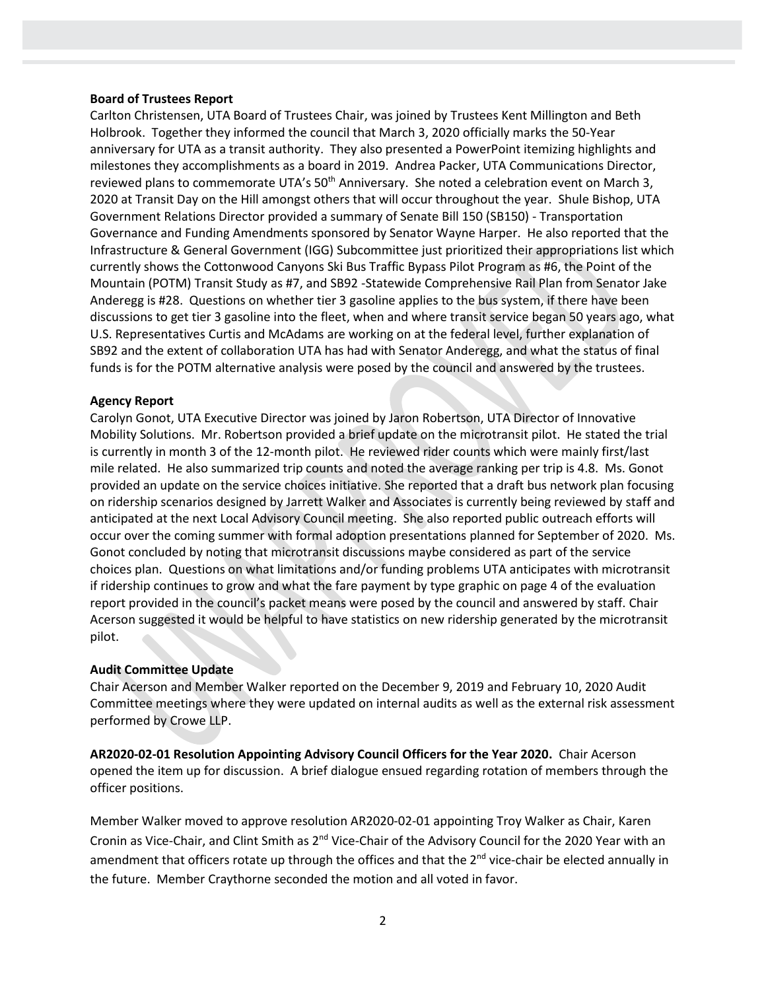#### **Board of Trustees Report**

Carlton Christensen, UTA Board of Trustees Chair, was joined by Trustees Kent Millington and Beth Holbrook. Together they informed the council that March 3, 2020 officially marks the 50-Year anniversary for UTA as a transit authority. They also presented a PowerPoint itemizing highlights and milestones they accomplishments as a board in 2019. Andrea Packer, UTA Communications Director, reviewed plans to commemorate UTA's 50<sup>th</sup> Anniversary. She noted a celebration event on March 3, 2020 at Transit Day on the Hill amongst others that will occur throughout the year. Shule Bishop, UTA Government Relations Director provided a summary of Senate Bill 150 (SB150) - Transportation Governance and Funding Amendments sponsored by Senator Wayne Harper. He also reported that the Infrastructure & General Government (IGG) Subcommittee just prioritized their appropriations list which currently shows the Cottonwood Canyons Ski Bus Traffic Bypass Pilot Program as #6, the Point of the Mountain (POTM) Transit Study as #7, and SB92 -Statewide Comprehensive Rail Plan from Senator Jake Anderegg is #28. Questions on whether tier 3 gasoline applies to the bus system, if there have been discussions to get tier 3 gasoline into the fleet, when and where transit service began 50 years ago, what U.S. Representatives Curtis and McAdams are working on at the federal level, further explanation of SB92 and the extent of collaboration UTA has had with Senator Anderegg, and what the status of final funds is for the POTM alternative analysis were posed by the council and answered by the trustees.

#### **Agency Report**

Carolyn Gonot, UTA Executive Director was joined by Jaron Robertson, UTA Director of Innovative Mobility Solutions. Mr. Robertson provided a brief update on the microtransit pilot. He stated the trial is currently in month 3 of the 12-month pilot. He reviewed rider counts which were mainly first/last mile related. He also summarized trip counts and noted the average ranking per trip is 4.8. Ms. Gonot provided an update on the service choices initiative. She reported that a draft bus network plan focusing on ridership scenarios designed by Jarrett Walker and Associates is currently being reviewed by staff and anticipated at the next Local Advisory Council meeting. She also reported public outreach efforts will occur over the coming summer with formal adoption presentations planned for September of 2020. Ms. Gonot concluded by noting that microtransit discussions maybe considered as part of the service choices plan. Questions on what limitations and/or funding problems UTA anticipates with microtransit if ridership continues to grow and what the fare payment by type graphic on page 4 of the evaluation report provided in the council's packet means were posed by the council and answered by staff. Chair Acerson suggested it would be helpful to have statistics on new ridership generated by the microtransit pilot.

## **Audit Committee Update**

Chair Acerson and Member Walker reported on the December 9, 2019 and February 10, 2020 Audit Committee meetings where they were updated on internal audits as well as the external risk assessment performed by Crowe LLP.

**AR2020-02-01 Resolution Appointing Advisory Council Officers for the Year 2020.** Chair Acerson opened the item up for discussion. A brief dialogue ensued regarding rotation of members through the officer positions.

Member Walker moved to approve resolution AR2020-02-01 appointing Troy Walker as Chair, Karen Cronin as Vice-Chair, and Clint Smith as 2<sup>nd</sup> Vice-Chair of the Advisory Council for the 2020 Year with an amendment that officers rotate up through the offices and that the 2<sup>nd</sup> vice-chair be elected annually in the future. Member Craythorne seconded the motion and all voted in favor.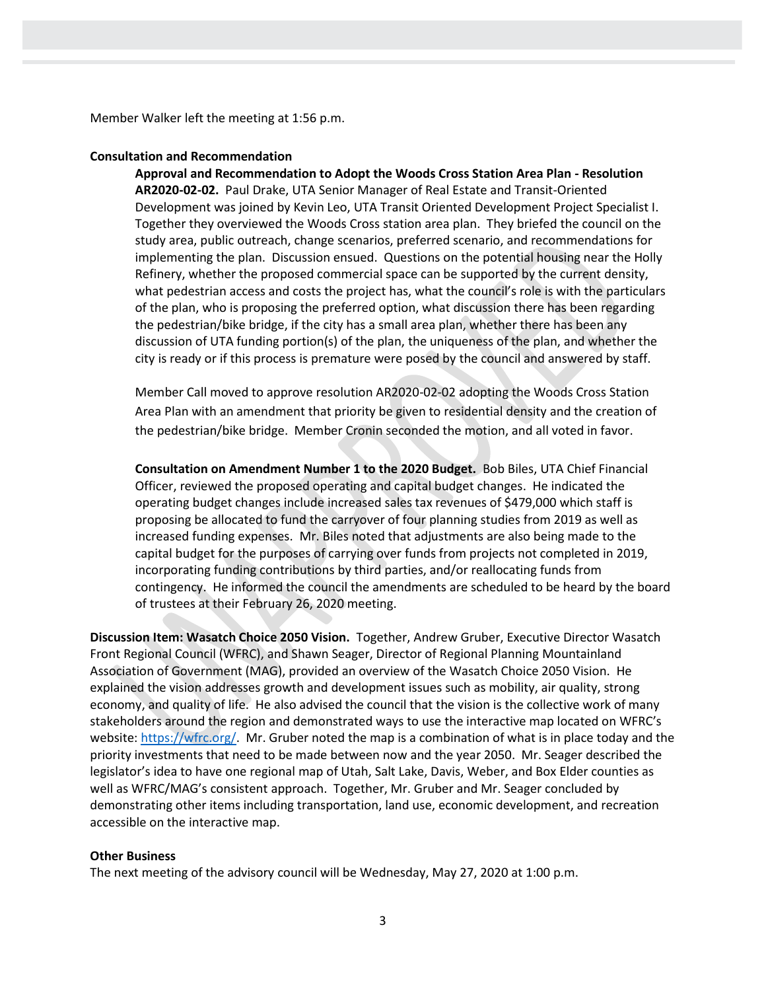Member Walker left the meeting at 1:56 p.m.

#### **Consultation and Recommendation**

**Approval and Recommendation to Adopt the Woods Cross Station Area Plan - Resolution AR2020-02-02.** Paul Drake, UTA Senior Manager of Real Estate and Transit-Oriented Development was joined by Kevin Leo, UTA Transit Oriented Development Project Specialist I. Together they overviewed the Woods Cross station area plan. They briefed the council on the study area, public outreach, change scenarios, preferred scenario, and recommendations for implementing the plan. Discussion ensued. Questions on the potential housing near the Holly Refinery, whether the proposed commercial space can be supported by the current density, what pedestrian access and costs the project has, what the council's role is with the particulars of the plan, who is proposing the preferred option, what discussion there has been regarding the pedestrian/bike bridge, if the city has a small area plan, whether there has been any discussion of UTA funding portion(s) of the plan, the uniqueness of the plan, and whether the city is ready or if this process is premature were posed by the council and answered by staff.

Member Call moved to approve resolution AR2020-02-02 adopting the Woods Cross Station Area Plan with an amendment that priority be given to residential density and the creation of the pedestrian/bike bridge. Member Cronin seconded the motion, and all voted in favor.

**Consultation on Amendment Number 1 to the 2020 Budget.** Bob Biles, UTA Chief Financial Officer, reviewed the proposed operating and capital budget changes. He indicated the operating budget changes include increased sales tax revenues of \$479,000 which staff is proposing be allocated to fund the carryover of four planning studies from 2019 as well as increased funding expenses. Mr. Biles noted that adjustments are also being made to the capital budget for the purposes of carrying over funds from projects not completed in 2019, incorporating funding contributions by third parties, and/or reallocating funds from contingency. He informed the council the amendments are scheduled to be heard by the board of trustees at their February 26, 2020 meeting.

**Discussion Item: Wasatch Choice 2050 Vision.** Together, Andrew Gruber, Executive Director Wasatch Front Regional Council (WFRC), and Shawn Seager, Director of Regional Planning Mountainland Association of Government (MAG), provided an overview of the Wasatch Choice 2050 Vision. He explained the vision addresses growth and development issues such as mobility, air quality, strong economy, and quality of life. He also advised the council that the vision is the collective work of many stakeholders around the region and demonstrated ways to use the interactive map located on WFRC's website[: https://wfrc.org/.](https://wfrc.org/) Mr. Gruber noted the map is a combination of what is in place today and the priority investments that need to be made between now and the year 2050. Mr. Seager described the legislator's idea to have one regional map of Utah, Salt Lake, Davis, Weber, and Box Elder counties as well as WFRC/MAG's consistent approach. Together, Mr. Gruber and Mr. Seager concluded by demonstrating other items including transportation, land use, economic development, and recreation accessible on the interactive map.

#### **Other Business**

The next meeting of the advisory council will be Wednesday, May 27, 2020 at 1:00 p.m.